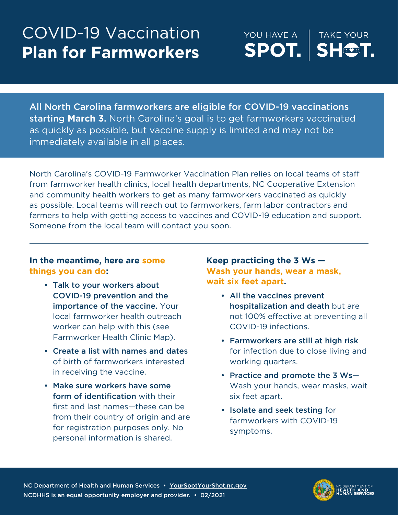## COVID-19 Vaccination **Plan for Farmworkers**

YOU HAVE A **TAKE YOUR** SPOT. **SHOT.** 

All North Carolina farmworkers are eligible for COVID-19 vaccinations starting **March 3**. North Carolina's goal is to get farmworkers vaccinated as quickly as possible, but vaccine supply is limited and may not be immediately available in all places.

North Carolina's COVID-19 Farmworker Vaccination Plan relies on local teams of staff from farmworker health clinics, local health departments, NC Cooperative Extension and community health workers to get as many farmworkers vaccinated as quickly as possible. Local teams will reach out to farmworkers, farm labor contractors and farmers to help with getting access to vaccines and COVID-19 education and support. Someone from the local team will contact you soon.

## **In the meantime, here are some things you can do:**

- Talk to your workers about COVID-19 prevention and the importance of the vaccine. Your local farmworker health outreach worker can help with this (see Farmworker Health Clinic Map).
- Create a list with names and dates of birth of farmworkers interested in receiving the vaccine.
- Make sure workers have some form of identification with their first and last names—these can be from their country of origin and are for registration purposes only. No personal information is shared.

**Keep practicing the 3 Ws — Wash your hands, wear a mask, wait six feet apart.**

- All the vaccines prevent hospitalization and death but are not 100% effective at preventing all COVID-19 infections.
- Farmworkers are still at high risk for infection due to close living and working quarters.
- Practice and promote the 3 Ws— Wash your hands, wear masks, wait six feet apart.
- Isolate and seek testing for farmworkers with COVID-19 symptoms.